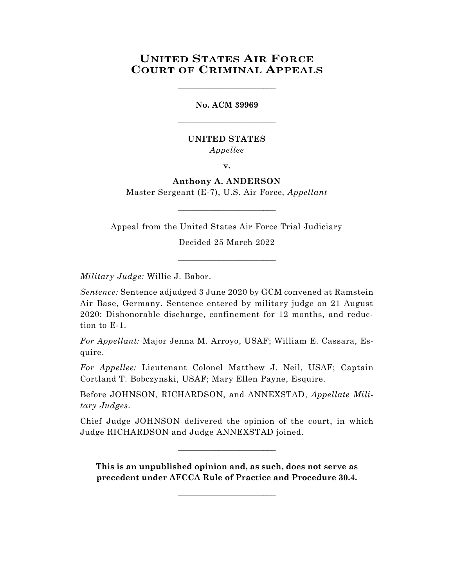# **UNITED STATES AIR FORCE COURT OF CRIMINAL APPEALS**

\_\_\_\_\_\_\_\_\_\_\_\_\_\_\_\_\_\_\_\_\_\_\_\_

**No. ACM 39969** \_\_\_\_\_\_\_\_\_\_\_\_\_\_\_\_\_\_\_\_\_\_\_\_

## **UNITED STATES** *Appellee*

**v.**

## **Anthony A. ANDERSON**

Master Sergeant (E-7), U.S. Air Force, *Appellant* \_\_\_\_\_\_\_\_\_\_\_\_\_\_\_\_\_\_\_\_\_\_\_\_

Appeal from the United States Air Force Trial Judiciary

Decided 25 March 2022

\_\_\_\_\_\_\_\_\_\_\_\_\_\_\_\_\_\_\_\_\_\_\_\_

*Military Judge:* Willie J. Babor.

*Sentence:* Sentence adjudged 3 June 2020 by GCM convened at Ramstein Air Base, Germany. Sentence entered by military judge on 21 August 2020: Dishonorable discharge, confinement for 12 months, and reduction to E-1.

*For Appellant:* Major Jenna M. Arroyo, USAF; William E. Cassara, Esquire.

*For Appellee:* Lieutenant Colonel Matthew J. Neil, USAF; Captain Cortland T. Bobczynski, USAF; Mary Ellen Payne, Esquire.

Before JOHNSON, RICHARDSON, and ANNEXSTAD, *Appellate Military Judges.*

Chief Judge JOHNSON delivered the opinion of the court, in which Judge RICHARDSON and Judge ANNEXSTAD joined.

 $\_$ 

**This is an unpublished opinion and, as such, does not serve as precedent under AFCCA Rule of Practice and Procedure 30.4.**

 $\_$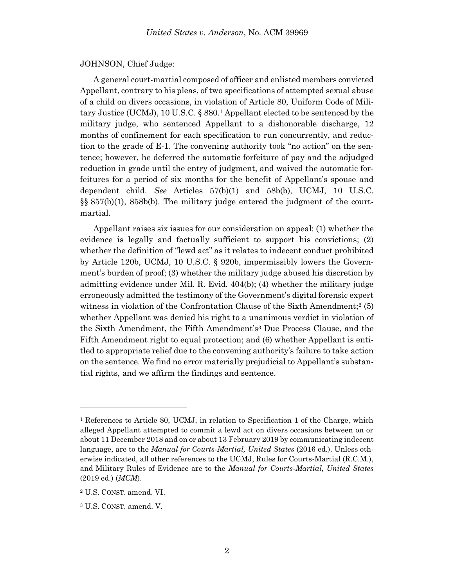#### JOHNSON, Chief Judge:

A general court-martial composed of officer and enlisted members convicted Appellant, contrary to his pleas, of two specifications of attempted sexual abuse of a child on divers occasions, in violation of Article 80, Uniform Code of Military Justice (UCMJ), 10 U.S.C. § 880. <sup>1</sup> Appellant elected to be sentenced by the military judge, who sentenced Appellant to a dishonorable discharge, 12 months of confinement for each specification to run concurrently, and reduction to the grade of E-1. The convening authority took "no action" on the sentence; however, he deferred the automatic forfeiture of pay and the adjudged reduction in grade until the entry of judgment, and waived the automatic forfeitures for a period of six months for the benefit of Appellant's spouse and dependent child. *See* Articles 57(b)(1) and 58b(b), UCMJ, 10 U.S.C. §§ 857(b)(1), 858b(b). The military judge entered the judgment of the courtmartial.

Appellant raises six issues for our consideration on appeal: (1) whether the evidence is legally and factually sufficient to support his convictions; (2) whether the definition of "lewd act" as it relates to indecent conduct prohibited by Article 120b, UCMJ, 10 U.S.C. § 920b, impermissibly lowers the Government's burden of proof; (3) whether the military judge abused his discretion by admitting evidence under Mil. R. Evid. 404(b); (4) whether the military judge erroneously admitted the testimony of the Government's digital forensic expert witness in violation of the Confrontation Clause of the Sixth Amendment;<sup>2</sup> (5) whether Appellant was denied his right to a unanimous verdict in violation of the Sixth Amendment, the Fifth Amendment's<sup>3</sup> Due Process Clause, and the Fifth Amendment right to equal protection; and (6) whether Appellant is entitled to appropriate relief due to the convening authority's failure to take action on the sentence. We find no error materially prejudicial to Appellant's substantial rights, and we affirm the findings and sentence.

<sup>1</sup> References to Article 80, UCMJ, in relation to Specification 1 of the Charge, which alleged Appellant attempted to commit a lewd act on divers occasions between on or about 11 December 2018 and on or about 13 February 2019 by communicating indecent language, are to the *Manual for Courts-Martial, United States* (2016 ed.). Unless otherwise indicated, all other references to the UCMJ, Rules for Courts-Martial (R.C.M.), and Military Rules of Evidence are to the *Manual for Courts-Martial, United States* (2019 ed.) (*MCM*).

<sup>2</sup> U.S. CONST. amend. VI.

<sup>3</sup> U.S. CONST. amend. V.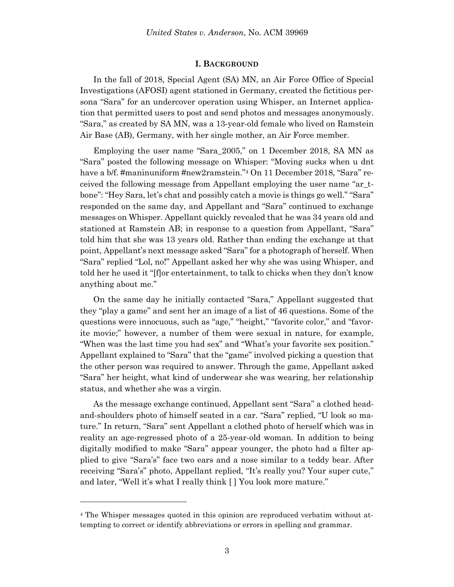#### **I. BACKGROUND**

In the fall of 2018, Special Agent (SA) MN, an Air Force Office of Special Investigations (AFOSI) agent stationed in Germany, created the fictitious persona "Sara" for an undercover operation using Whisper, an Internet application that permitted users to post and send photos and messages anonymously. "Sara," as created by SA MN, was a 13-year-old female who lived on Ramstein Air Base (AB), Germany, with her single mother, an Air Force member.

Employing the user name "Sara\_2005," on 1 December 2018, SA MN as "Sara" posted the following message on Whisper: "Moving sucks when u dnt have a b/f. #maninuniform #new2ramstein."<sup>4</sup> On 11 December 2018, "Sara" received the following message from Appellant employing the user name "ar\_tbone": "Hey Sara, let's chat and possibly catch a movie is things go well." "Sara" responded on the same day, and Appellant and "Sara" continued to exchange messages on Whisper. Appellant quickly revealed that he was 34 years old and stationed at Ramstein AB; in response to a question from Appellant, "Sara" told him that she was 13 years old. Rather than ending the exchange at that point, Appellant's next message asked "Sara" for a photograph of herself. When "Sara" replied "Lol, no!" Appellant asked her why she was using Whisper, and told her he used it "[f]or entertainment, to talk to chicks when they don't know anything about me."

On the same day he initially contacted "Sara," Appellant suggested that they "play a game" and sent her an image of a list of 46 questions. Some of the questions were innocuous, such as "age," "height," "favorite color," and "favorite movie;" however, a number of them were sexual in nature, for example, "When was the last time you had sex" and "What's your favorite sex position." Appellant explained to "Sara" that the "game" involved picking a question that the other person was required to answer. Through the game, Appellant asked "Sara" her height, what kind of underwear she was wearing, her relationship status, and whether she was a virgin.

As the message exchange continued, Appellant sent "Sara" a clothed headand-shoulders photo of himself seated in a car. "Sara" replied, "U look so mature." In return, "Sara" sent Appellant a clothed photo of herself which was in reality an age-regressed photo of a 25-year-old woman. In addition to being digitally modified to make "Sara" appear younger, the photo had a filter applied to give "Sara's" face two ears and a nose similar to a teddy bear. After receiving "Sara's" photo, Appellant replied, "It's really you? Your super cute," and later, "Well it's what I really think [ ] You look more mature."

l

<sup>4</sup> The Whisper messages quoted in this opinion are reproduced verbatim without attempting to correct or identify abbreviations or errors in spelling and grammar.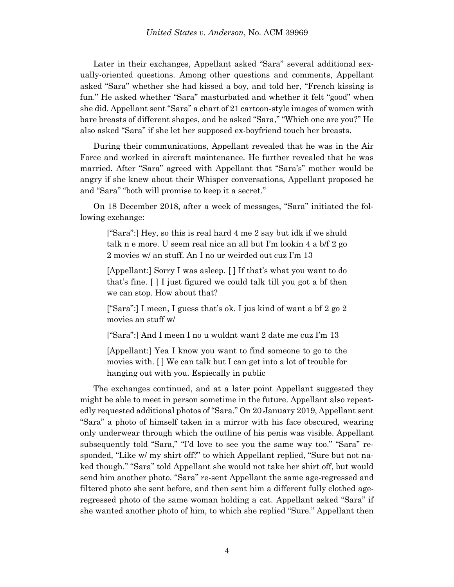Later in their exchanges, Appellant asked "Sara" several additional sexually-oriented questions. Among other questions and comments, Appellant asked "Sara" whether she had kissed a boy, and told her, "French kissing is fun." He asked whether "Sara" masturbated and whether it felt "good" when she did. Appellant sent "Sara" a chart of 21 cartoon-style images of women with bare breasts of different shapes, and he asked "Sara," "Which one are you?" He also asked "Sara" if she let her supposed ex-boyfriend touch her breasts.

During their communications, Appellant revealed that he was in the Air Force and worked in aircraft maintenance. He further revealed that he was married. After "Sara" agreed with Appellant that "Sara's" mother would be angry if she knew about their Whisper conversations, Appellant proposed he and "Sara" "both will promise to keep it a secret."

On 18 December 2018, after a week of messages, "Sara" initiated the following exchange:

["Sara":] Hey, so this is real hard 4 me 2 say but idk if we shuld talk n e more. U seem real nice an all but I'm lookin 4 a b/f 2 go 2 movies w/ an stuff. An I no ur weirded out cuz I'm 13

[Appellant:] Sorry I was asleep. [ ] If that's what you want to do that's fine. [ ] I just figured we could talk till you got a bf then we can stop. How about that?

["Sara":] I meen, I guess that's ok. I jus kind of want a bf 2 go 2 movies an stuff w/

["Sara":] And I meen I no u wuldnt want 2 date me cuz I'm 13

[Appellant:] Yea I know you want to find someone to go to the movies with. [ ] We can talk but I can get into a lot of trouble for hanging out with you. Espiecally in public

The exchanges continued, and at a later point Appellant suggested they might be able to meet in person sometime in the future. Appellant also repeatedly requested additional photos of "Sara." On 20 January 2019, Appellant sent "Sara" a photo of himself taken in a mirror with his face obscured, wearing only underwear through which the outline of his penis was visible. Appellant subsequently told "Sara," "I'd love to see you the same way too." "Sara" responded, "Like w/ my shirt off?" to which Appellant replied, "Sure but not naked though." "Sara" told Appellant she would not take her shirt off, but would send him another photo. "Sara" re-sent Appellant the same age-regressed and filtered photo she sent before, and then sent him a different fully clothed ageregressed photo of the same woman holding a cat. Appellant asked "Sara" if she wanted another photo of him, to which she replied "Sure." Appellant then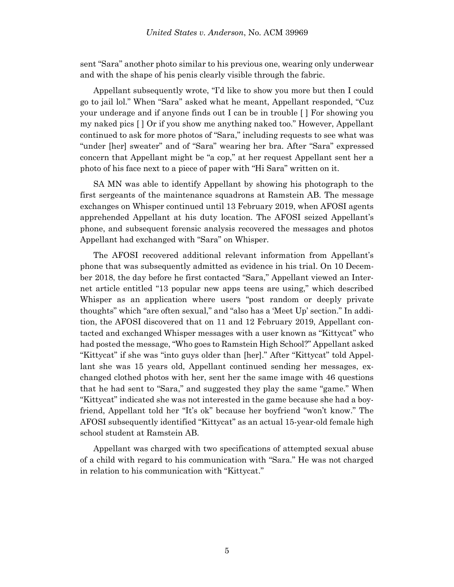sent "Sara" another photo similar to his previous one, wearing only underwear and with the shape of his penis clearly visible through the fabric.

Appellant subsequently wrote, "I'd like to show you more but then I could go to jail lol." When "Sara" asked what he meant, Appellant responded, "Cuz your underage and if anyone finds out I can be in trouble [ ] For showing you my naked pics [ ] Or if you show me anything naked too." However, Appellant continued to ask for more photos of "Sara," including requests to see what was "under [her] sweater" and of "Sara" wearing her bra. After "Sara" expressed concern that Appellant might be "a cop," at her request Appellant sent her a photo of his face next to a piece of paper with "Hi Sara" written on it.

SA MN was able to identify Appellant by showing his photograph to the first sergeants of the maintenance squadrons at Ramstein AB. The message exchanges on Whisper continued until 13 February 2019, when AFOSI agents apprehended Appellant at his duty location. The AFOSI seized Appellant's phone, and subsequent forensic analysis recovered the messages and photos Appellant had exchanged with "Sara" on Whisper.

The AFOSI recovered additional relevant information from Appellant's phone that was subsequently admitted as evidence in his trial. On 10 December 2018, the day before he first contacted "Sara," Appellant viewed an Internet article entitled "13 popular new apps teens are using," which described Whisper as an application where users "post random or deeply private thoughts" which "are often sexual," and "also has a 'Meet Up' section." In addition, the AFOSI discovered that on 11 and 12 February 2019, Appellant contacted and exchanged Whisper messages with a user known as "Kittycat" who had posted the message, "Who goes to Ramstein High School?" Appellant asked "Kittycat" if she was "into guys older than [her]." After "Kittycat" told Appellant she was 15 years old, Appellant continued sending her messages, exchanged clothed photos with her, sent her the same image with 46 questions that he had sent to "Sara," and suggested they play the same "game." When "Kittycat" indicated she was not interested in the game because she had a boyfriend, Appellant told her "It's ok" because her boyfriend "won't know." The AFOSI subsequently identified "Kittycat" as an actual 15-year-old female high school student at Ramstein AB.

Appellant was charged with two specifications of attempted sexual abuse of a child with regard to his communication with "Sara." He was not charged in relation to his communication with "Kittycat."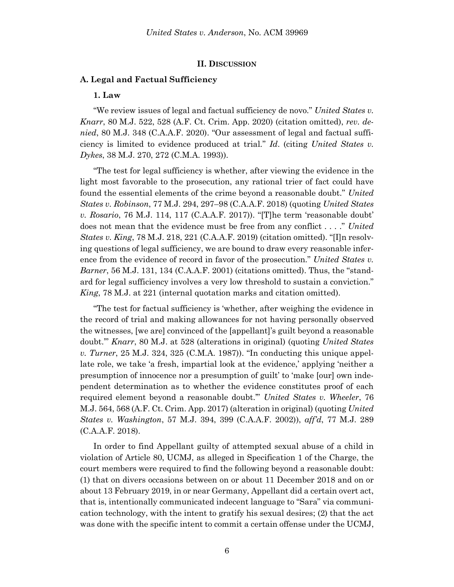### **II. DISCUSSION**

### **A. Legal and Factual Sufficiency**

#### **1. Law**

"We review issues of legal and factual sufficiency de novo." *United States v. Knarr*, 80 M.J. 522, 528 (A.F. Ct. Crim. App. 2020) (citation omitted), *rev. denied*, 80 M.J. 348 (C.A.A.F. 2020). "Our assessment of legal and factual sufficiency is limited to evidence produced at trial." *Id*. (citing *United States v. Dykes*, 38 M.J. 270, 272 (C.M.A. 1993)).

"The test for legal sufficiency is whether, after viewing the evidence in the light most favorable to the prosecution, any rational trier of fact could have found the essential elements of the crime beyond a reasonable doubt." *United States v. Robinson*, 77 M.J. 294, 297–98 (C.A.A.F. 2018) (quoting *United States v. Rosario*, 76 M.J. 114, 117 (C.A.A.F. 2017)). "[T]he term 'reasonable doubt' does not mean that the evidence must be free from any conflict . . . ." *United States v. King*, 78 M.J. 218, 221 (C.A.A.F. 2019) (citation omitted). "[I]n resolving questions of legal sufficiency, we are bound to draw every reasonable inference from the evidence of record in favor of the prosecution." *United States v. Barner*, 56 M.J. 131, 134 (C.A.A.F. 2001) (citations omitted). Thus, the "standard for legal sufficiency involves a very low threshold to sustain a conviction." *King*, 78 M.J. at 221 (internal quotation marks and citation omitted).

"The test for factual sufficiency is 'whether, after weighing the evidence in the record of trial and making allowances for not having personally observed the witnesses, [we are] convinced of the [appellant]'s guilt beyond a reasonable doubt.'" *Knarr*, 80 M.J. at 528 (alterations in original) (quoting *United States v. Turner*, 25 M.J. 324, 325 (C.M.A. 1987)). "In conducting this unique appellate role, we take 'a fresh, impartial look at the evidence,' applying 'neither a presumption of innocence nor a presumption of guilt' to 'make [our] own independent determination as to whether the evidence constitutes proof of each required element beyond a reasonable doubt.'" *United States v. Wheeler*, 76 M.J. 564, 568 (A.F. Ct. Crim. App. 2017) (alteration in original) (quoting *United States v. Washington*, 57 M.J. 394, 399 (C.A.A.F. 2002)), *aff'd*, 77 M.J. 289 (C.A.A.F. 2018).

In order to find Appellant guilty of attempted sexual abuse of a child in violation of Article 80, UCMJ, as alleged in Specification 1 of the Charge, the court members were required to find the following beyond a reasonable doubt: (1) that on divers occasions between on or about 11 December 2018 and on or about 13 February 2019, in or near Germany, Appellant did a certain overt act, that is, intentionally communicated indecent language to "Sara" via communication technology, with the intent to gratify his sexual desires; (2) that the act was done with the specific intent to commit a certain offense under the UCMJ,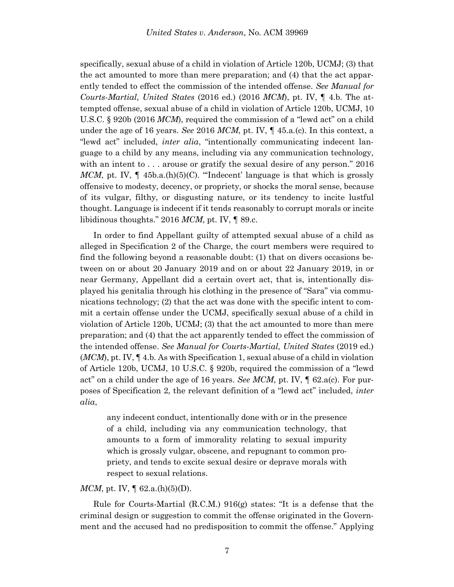specifically, sexual abuse of a child in violation of Article 120b, UCMJ; (3) that the act amounted to more than mere preparation; and (4) that the act apparently tended to effect the commission of the intended offense. *See Manual for Courts-Martial, United States* (2016 ed.) (2016 *MCM*), pt. IV, ¶ 4.b. The attempted offense, sexual abuse of a child in violation of Article 120b, UCMJ, 10 U.S.C. § 920b (2016 *MCM*), required the commission of a "lewd act" on a child under the age of 16 years. *See* 2016 *MCM*, pt. IV, ¶ 45.a.(c). In this context, a "lewd act" included, *inter alia*, "intentionally communicating indecent language to a child by any means, including via any communication technology, with an intent to . . . arouse or gratify the sexual desire of any person." 2016 *MCM*, pt. IV,  $\P$  45b.a.(h)(5)(C). "The decent' language is that which is grossly offensive to modesty, decency, or propriety, or shocks the moral sense, because of its vulgar, filthy, or disgusting nature, or its tendency to incite lustful thought. Language is indecent if it tends reasonably to corrupt morals or incite libidinous thoughts." 2016 *MCM*, pt. IV, ¶ 89.c.

In order to find Appellant guilty of attempted sexual abuse of a child as alleged in Specification 2 of the Charge, the court members were required to find the following beyond a reasonable doubt: (1) that on divers occasions between on or about 20 January 2019 and on or about 22 January 2019, in or near Germany, Appellant did a certain overt act, that is, intentionally displayed his genitalia through his clothing in the presence of "Sara" via communications technology; (2) that the act was done with the specific intent to commit a certain offense under the UCMJ, specifically sexual abuse of a child in violation of Article 120b, UCMJ; (3) that the act amounted to more than mere preparation; and (4) that the act apparently tended to effect the commission of the intended offense. *See Manual for Courts-Martial, United States* (2019 ed.) (*MCM*), pt. IV, ¶ 4.b. As with Specification 1, sexual abuse of a child in violation of Article 120b, UCMJ, 10 U.S.C. § 920b, required the commission of a "lewd act" on a child under the age of 16 years. *See MCM*, pt. IV, ¶ 62.a(c). For purposes of Specification 2, the relevant definition of a "lewd act" included, *inter alia*,

any indecent conduct, intentionally done with or in the presence of a child, including via any communication technology, that amounts to a form of immorality relating to sexual impurity which is grossly vulgar, obscene, and repugnant to common propriety, and tends to excite sexual desire or deprave morals with respect to sexual relations.

### *MCM*, pt. IV,  $\llbracket 62.a.(h)(5)(D)$ .

Rule for Courts-Martial (R.C.M.) 916(g) states: "It is a defense that the criminal design or suggestion to commit the offense originated in the Government and the accused had no predisposition to commit the offense." Applying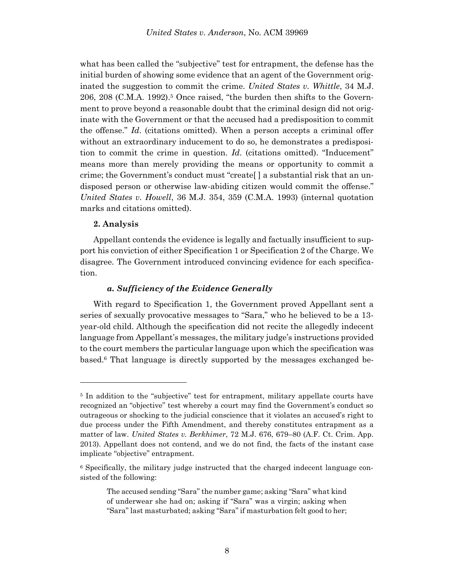what has been called the "subjective" test for entrapment, the defense has the initial burden of showing some evidence that an agent of the Government originated the suggestion to commit the crime. *United States v. Whittle*, 34 M.J. 206, 208 (C.M.A. 1992).<sup>5</sup> Once raised, "the burden then shifts to the Government to prove beyond a reasonable doubt that the criminal design did not originate with the Government or that the accused had a predisposition to commit the offense." *Id*. (citations omitted). When a person accepts a criminal offer without an extraordinary inducement to do so, he demonstrates a predisposition to commit the crime in question. *Id*. (citations omitted). "Inducement" means more than merely providing the means or opportunity to commit a crime; the Government's conduct must "create[ ] a substantial risk that an undisposed person or otherwise law-abiding citizen would commit the offense." *United States v. Howell*, 36 M.J. 354, 359 (C.M.A. 1993) (internal quotation marks and citations omitted).

## **2. Analysis**

Appellant contends the evidence is legally and factually insufficient to support his conviction of either Specification 1 or Specification 2 of the Charge. We disagree. The Government introduced convincing evidence for each specification.

### *a. Sufficiency of the Evidence Generally*

With regard to Specification 1, the Government proved Appellant sent a series of sexually provocative messages to "Sara," who he believed to be a 13 year-old child. Although the specification did not recite the allegedly indecent language from Appellant's messages, the military judge's instructions provided to the court members the particular language upon which the specification was based. <sup>6</sup> That language is directly supported by the messages exchanged be-

<sup>5</sup> In addition to the "subjective" test for entrapment, military appellate courts have recognized an "objective" test whereby a court may find the Government's conduct so outrageous or shocking to the judicial conscience that it violates an accused's right to due process under the Fifth Amendment, and thereby constitutes entrapment as a matter of law. *United States v. Berkhimer*, 72 M.J. 676, 679–80 (A.F. Ct. Crim. App. 2013). Appellant does not contend, and we do not find, the facts of the instant case implicate "objective" entrapment.

<sup>6</sup> Specifically, the military judge instructed that the charged indecent language consisted of the following:

The accused sending "Sara" the number game; asking "Sara" what kind of underwear she had on; asking if "Sara" was a virgin; asking when "Sara" last masturbated; asking "Sara" if masturbation felt good to her;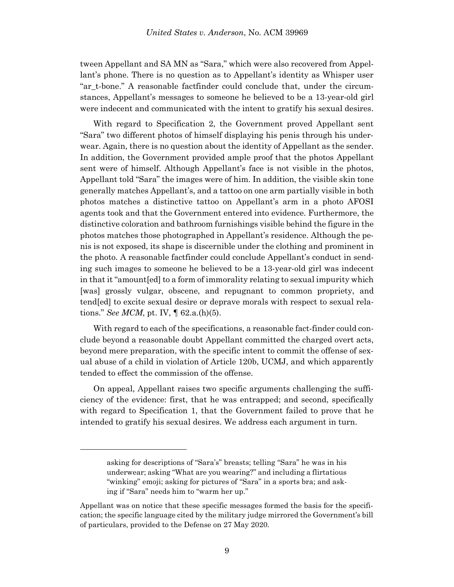tween Appellant and SA MN as "Sara," which were also recovered from Appellant's phone. There is no question as to Appellant's identity as Whisper user "ar\_t-bone." A reasonable factfinder could conclude that, under the circumstances, Appellant's messages to someone he believed to be a 13-year-old girl were indecent and communicated with the intent to gratify his sexual desires.

With regard to Specification 2, the Government proved Appellant sent "Sara" two different photos of himself displaying his penis through his underwear. Again, there is no question about the identity of Appellant as the sender. In addition, the Government provided ample proof that the photos Appellant sent were of himself. Although Appellant's face is not visible in the photos, Appellant told "Sara" the images were of him. In addition, the visible skin tone generally matches Appellant's, and a tattoo on one arm partially visible in both photos matches a distinctive tattoo on Appellant's arm in a photo AFOSI agents took and that the Government entered into evidence. Furthermore, the distinctive coloration and bathroom furnishings visible behind the figure in the photos matches those photographed in Appellant's residence. Although the penis is not exposed, its shape is discernible under the clothing and prominent in the photo. A reasonable factfinder could conclude Appellant's conduct in sending such images to someone he believed to be a 13-year-old girl was indecent in that it "amount[ed] to a form of immorality relating to sexual impurity which [was] grossly vulgar, obscene, and repugnant to common propriety, and tend[ed] to excite sexual desire or deprave morals with respect to sexual relations." *See MCM*, pt. IV, ¶ 62.a.(h)(5).

With regard to each of the specifications, a reasonable fact-finder could conclude beyond a reasonable doubt Appellant committed the charged overt acts, beyond mere preparation, with the specific intent to commit the offense of sexual abuse of a child in violation of Article 120b, UCMJ, and which apparently tended to effect the commission of the offense.

On appeal, Appellant raises two specific arguments challenging the sufficiency of the evidence: first, that he was entrapped; and second, specifically with regard to Specification 1, that the Government failed to prove that he intended to gratify his sexual desires. We address each argument in turn.

l

asking for descriptions of "Sara's" breasts; telling "Sara" he was in his underwear; asking "What are you wearing?" and including a flirtatious "winking" emoji; asking for pictures of "Sara" in a sports bra; and asking if "Sara" needs him to "warm her up."

Appellant was on notice that these specific messages formed the basis for the specification; the specific language cited by the military judge mirrored the Government's bill of particulars, provided to the Defense on 27 May 2020.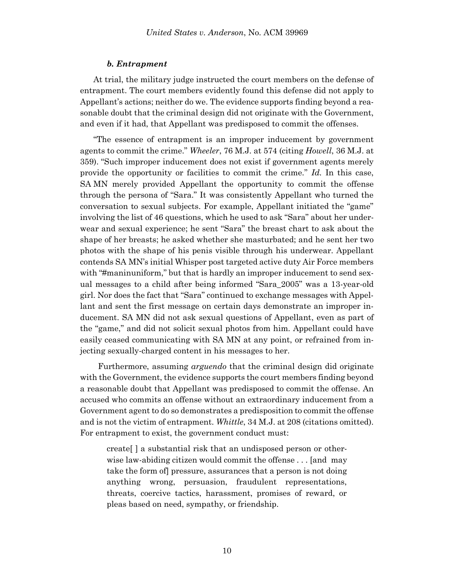#### *b. Entrapment*

At trial, the military judge instructed the court members on the defense of entrapment. The court members evidently found this defense did not apply to Appellant's actions; neither do we. The evidence supports finding beyond a reasonable doubt that the criminal design did not originate with the Government, and even if it had, that Appellant was predisposed to commit the offenses.

"The essence of entrapment is an improper inducement by government agents to commit the crime." *Wheeler*, 76 M.J. at 574 (citing *Howell*, 36 M.J. at 359). "Such improper inducement does not exist if government agents merely provide the opportunity or facilities to commit the crime." *Id.* In this case, SA MN merely provided Appellant the opportunity to commit the offense through the persona of "Sara." It was consistently Appellant who turned the conversation to sexual subjects. For example, Appellant initiated the "game" involving the list of 46 questions, which he used to ask "Sara" about her underwear and sexual experience; he sent "Sara" the breast chart to ask about the shape of her breasts; he asked whether she masturbated; and he sent her two photos with the shape of his penis visible through his underwear. Appellant contends SA MN's initial Whisper post targeted active duty Air Force members with "#maninuniform," but that is hardly an improper inducement to send sexual messages to a child after being informed "Sara\_2005" was a 13-year-old girl. Nor does the fact that "Sara" continued to exchange messages with Appellant and sent the first message on certain days demonstrate an improper inducement. SA MN did not ask sexual questions of Appellant, even as part of the "game," and did not solicit sexual photos from him. Appellant could have easily ceased communicating with SA MN at any point, or refrained from injecting sexually-charged content in his messages to her.

Furthermore, assuming *arguendo* that the criminal design did originate with the Government, the evidence supports the court members finding beyond a reasonable doubt that Appellant was predisposed to commit the offense. An accused who commits an offense without an extraordinary inducement from a Government agent to do so demonstrates a predisposition to commit the offense and is not the victim of entrapment. *Whittle*, 34 M.J. at 208 (citations omitted). For entrapment to exist, the government conduct must:

create[ ] a substantial risk that an undisposed person or otherwise law-abiding citizen would commit the offense . . . [and may take the form of] pressure, assurances that a person is not doing anything wrong, persuasion, fraudulent representations, threats, coercive tactics, harassment, promises of reward, or pleas based on need, sympathy, or friendship.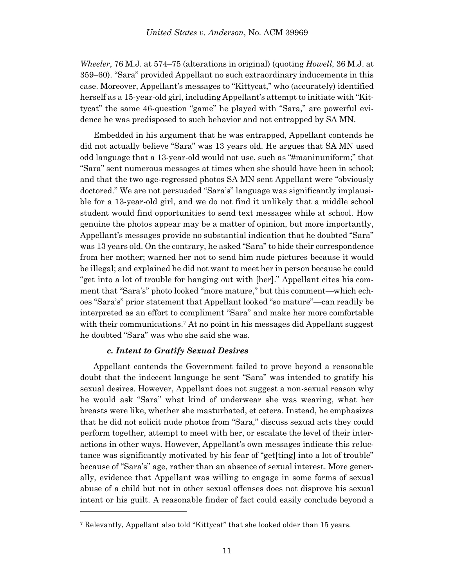*Wheeler*, 76 M.J. at 574–75 (alterations in original) (quoting *Howell*, 36 M.J. at 359–60). "Sara" provided Appellant no such extraordinary inducements in this case. Moreover, Appellant's messages to "Kittycat," who (accurately) identified herself as a 15-year-old girl, including Appellant's attempt to initiate with "Kittycat" the same 46-question "game" he played with "Sara," are powerful evidence he was predisposed to such behavior and not entrapped by SA MN.

Embedded in his argument that he was entrapped, Appellant contends he did not actually believe "Sara" was 13 years old. He argues that SA MN used odd language that a 13-year-old would not use, such as "#maninuniform;" that "Sara" sent numerous messages at times when she should have been in school; and that the two age-regressed photos SA MN sent Appellant were "obviously doctored." We are not persuaded "Sara's" language was significantly implausible for a 13-year-old girl, and we do not find it unlikely that a middle school student would find opportunities to send text messages while at school. How genuine the photos appear may be a matter of opinion, but more importantly, Appellant's messages provide no substantial indication that he doubted "Sara" was 13 years old. On the contrary, he asked "Sara" to hide their correspondence from her mother; warned her not to send him nude pictures because it would be illegal; and explained he did not want to meet her in person because he could "get into a lot of trouble for hanging out with [her]." Appellant cites his comment that "Sara's" photo looked "more mature," but this comment—which echoes "Sara's" prior statement that Appellant looked "so mature"—can readily be interpreted as an effort to compliment "Sara" and make her more comfortable with their communications.<sup>7</sup> At no point in his messages did Appellant suggest he doubted "Sara" was who she said she was.

## *c. Intent to Gratify Sexual Desires*

l

Appellant contends the Government failed to prove beyond a reasonable doubt that the indecent language he sent "Sara" was intended to gratify his sexual desires. However, Appellant does not suggest a non-sexual reason why he would ask "Sara" what kind of underwear she was wearing, what her breasts were like, whether she masturbated, et cetera. Instead, he emphasizes that he did not solicit nude photos from "Sara," discuss sexual acts they could perform together, attempt to meet with her, or escalate the level of their interactions in other ways. However, Appellant's own messages indicate this reluctance was significantly motivated by his fear of "get[ting] into a lot of trouble" because of "Sara's" age, rather than an absence of sexual interest. More generally, evidence that Appellant was willing to engage in some forms of sexual abuse of a child but not in other sexual offenses does not disprove his sexual intent or his guilt. A reasonable finder of fact could easily conclude beyond a

<sup>7</sup> Relevantly, Appellant also told "Kittycat" that she looked older than 15 years.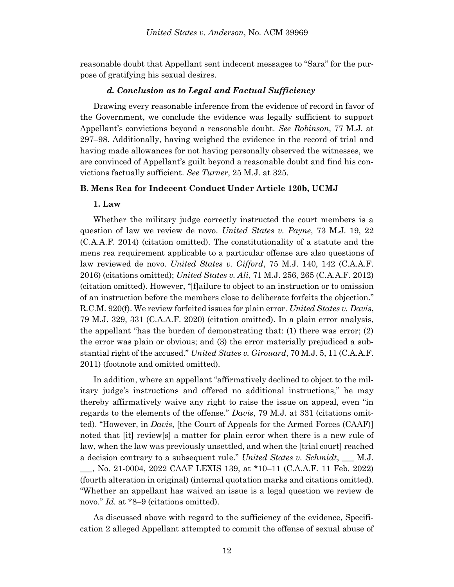reasonable doubt that Appellant sent indecent messages to "Sara" for the purpose of gratifying his sexual desires.

## *d. Conclusion as to Legal and Factual Sufficiency*

Drawing every reasonable inference from the evidence of record in favor of the Government, we conclude the evidence was legally sufficient to support Appellant's convictions beyond a reasonable doubt. *See Robinson*, 77 M.J. at 297–98. Additionally, having weighed the evidence in the record of trial and having made allowances for not having personally observed the witnesses, we are convinced of Appellant's guilt beyond a reasonable doubt and find his convictions factually sufficient. *See Turner*, 25 M.J. at 325.

### **B. Mens Rea for Indecent Conduct Under Article 120b, UCMJ**

### **1. Law**

Whether the military judge correctly instructed the court members is a question of law we review de novo. *United States v. Payne*, 73 M.J. 19, 22 (C.A.A.F. 2014) (citation omitted). The constitutionality of a statute and the mens rea requirement applicable to a particular offense are also questions of law reviewed de novo. *United States v. Gifford*, 75 M.J. 140, 142 (C.A.A.F. 2016) (citations omitted); *United States v. Ali*, 71 M.J. 256, 265 (C.A.A.F. 2012) (citation omitted). However, "[f]ailure to object to an instruction or to omission of an instruction before the members close to deliberate forfeits the objection." R.C.M. 920(f). We review forfeited issues for plain error. *United States v. Davis*, 79 M.J. 329, 331 (C.A.A.F. 2020) (citation omitted). In a plain error analysis, the appellant "has the burden of demonstrating that: (1) there was error; (2) the error was plain or obvious; and (3) the error materially prejudiced a substantial right of the accused." *United States v. Girouard*, 70 M.J. 5, 11 (C.A.A.F. 2011) (footnote and omitted omitted).

In addition, where an appellant "affirmatively declined to object to the military judge's instructions and offered no additional instructions," he may thereby affirmatively waive any right to raise the issue on appeal, even "in regards to the elements of the offense." *Davis*, 79 M.J. at 331 (citations omitted). "However, in *Davis*, [the Court of Appeals for the Armed Forces (CAAF)] noted that [it] review[s] a matter for plain error when there is a new rule of law, when the law was previously unsettled, and when the [trial court] reached a decision contrary to a subsequent rule." *United States v. Schmidt*, \_\_\_ M.J. \_\_\_, No. 21-0004, 2022 CAAF LEXIS 139, at \*10–11 (C.A.A.F. 11 Feb. 2022) (fourth alteration in original) (internal quotation marks and citations omitted). "Whether an appellant has waived an issue is a legal question we review de novo." *Id*. at \*8–9 (citations omitted).

As discussed above with regard to the sufficiency of the evidence, Specification 2 alleged Appellant attempted to commit the offense of sexual abuse of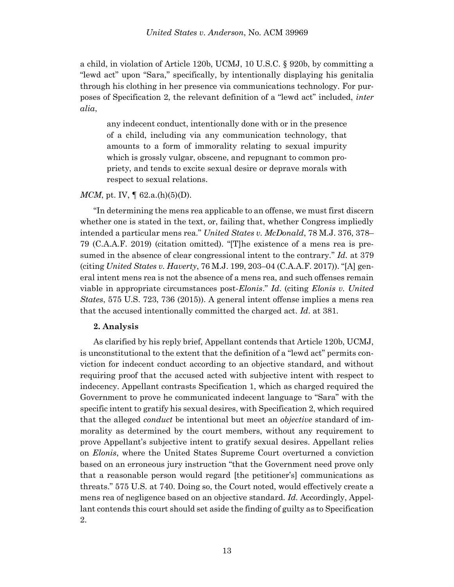a child, in violation of Article 120b, UCMJ, 10 U.S.C. § 920b, by committing a "lewd act" upon "Sara," specifically, by intentionally displaying his genitalia through his clothing in her presence via communications technology. For purposes of Specification 2, the relevant definition of a "lewd act" included, *inter alia*,

any indecent conduct, intentionally done with or in the presence of a child, including via any communication technology, that amounts to a form of immorality relating to sexual impurity which is grossly vulgar, obscene, and repugnant to common propriety, and tends to excite sexual desire or deprave morals with respect to sexual relations.

## *MCM*, pt. IV,  $\parallel$  62.a.(h)(5)(D).

"In determining the mens rea applicable to an offense, we must first discern whether one is stated in the text, or, failing that, whether Congress impliedly intended a particular mens rea." *United States v. McDonald*, 78 M.J. 376, 378– 79 (C.A.A.F. 2019) (citation omitted). "[T]he existence of a mens rea is presumed in the absence of clear congressional intent to the contrary." *Id.* at 379 (citing *United States v. Haverty*, 76 M.J. 199, 203–04 (C.A.A.F. 2017)). "[A] general intent mens rea is not the absence of a mens rea, and such offenses remain viable in appropriate circumstances post-*Elonis*." *Id*. (citing *Elonis v. United States*, 575 U.S. 723, 736 (2015)). A general intent offense implies a mens rea that the accused intentionally committed the charged act. *Id*. at 381.

### **2. Analysis**

As clarified by his reply brief, Appellant contends that Article 120b, UCMJ, is unconstitutional to the extent that the definition of a "lewd act" permits conviction for indecent conduct according to an objective standard, and without requiring proof that the accused acted with subjective intent with respect to indecency. Appellant contrasts Specification 1, which as charged required the Government to prove he communicated indecent language to "Sara" with the specific intent to gratify his sexual desires, with Specification 2, which required that the alleged *conduct* be intentional but meet an *objective* standard of immorality as determined by the court members, without any requirement to prove Appellant's subjective intent to gratify sexual desires. Appellant relies on *Elonis*, where the United States Supreme Court overturned a conviction based on an erroneous jury instruction "that the Government need prove only that a reasonable person would regard [the petitioner's] communications as threats." 575 U.S. at 740. Doing so, the Court noted, would effectively create a mens rea of negligence based on an objective standard. *Id.* Accordingly, Appellant contends this court should set aside the finding of guilty as to Specification 2.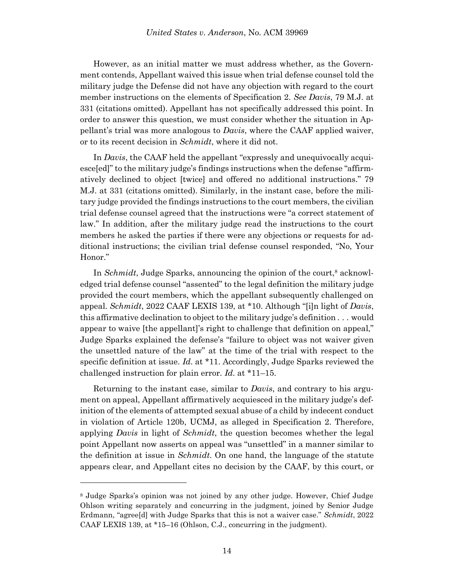However, as an initial matter we must address whether, as the Government contends, Appellant waived this issue when trial defense counsel told the military judge the Defense did not have any objection with regard to the court member instructions on the elements of Specification 2. *See Davis*, 79 M.J. at 331 (citations omitted). Appellant has not specifically addressed this point. In order to answer this question, we must consider whether the situation in Appellant's trial was more analogous to *Davis*, where the CAAF applied waiver, or to its recent decision in *Schmidt*, where it did not.

In *Davis*, the CAAF held the appellant "expressly and unequivocally acquiesce[ed]" to the military judge's findings instructions when the defense "affirmatively declined to object [twice] and offered no additional instructions." 79 M.J. at 331 (citations omitted). Similarly, in the instant case, before the military judge provided the findings instructions to the court members, the civilian trial defense counsel agreed that the instructions were "a correct statement of law." In addition, after the military judge read the instructions to the court members he asked the parties if there were any objections or requests for additional instructions; the civilian trial defense counsel responded, "No, Your Honor."

In *Schmidt*, Judge Sparks, announcing the opinion of the court,<sup>8</sup> acknowledged trial defense counsel "assented" to the legal definition the military judge provided the court members, which the appellant subsequently challenged on appeal. *Schmidt*, 2022 CAAF LEXIS 139, at \*10. Although "[i]n light of *Davis*, this affirmative declination to object to the military judge's definition . . . would appear to waive [the appellant]'s right to challenge that definition on appeal," Judge Sparks explained the defense's "failure to object was not waiver given the unsettled nature of the law" at the time of the trial with respect to the specific definition at issue. *Id*. at \*11. Accordingly, Judge Sparks reviewed the challenged instruction for plain error. *Id*. at \*11–15.

Returning to the instant case, similar to *Davis*, and contrary to his argument on appeal, Appellant affirmatively acquiesced in the military judge's definition of the elements of attempted sexual abuse of a child by indecent conduct in violation of Article 120b, UCMJ, as alleged in Specification 2. Therefore, applying *Davis* in light of *Schmidt*, the question becomes whether the legal point Appellant now asserts on appeal was "unsettled" in a manner similar to the definition at issue in *Schmidt*. On one hand, the language of the statute appears clear, and Appellant cites no decision by the CAAF, by this court, or

l

<sup>8</sup> Judge Sparks's opinion was not joined by any other judge. However, Chief Judge Ohlson writing separately and concurring in the judgment, joined by Senior Judge Erdmann, "agree[d] with Judge Sparks that this is not a waiver case." *Schmidt*, 2022 CAAF LEXIS 139, at \*15–16 (Ohlson, C.J., concurring in the judgment).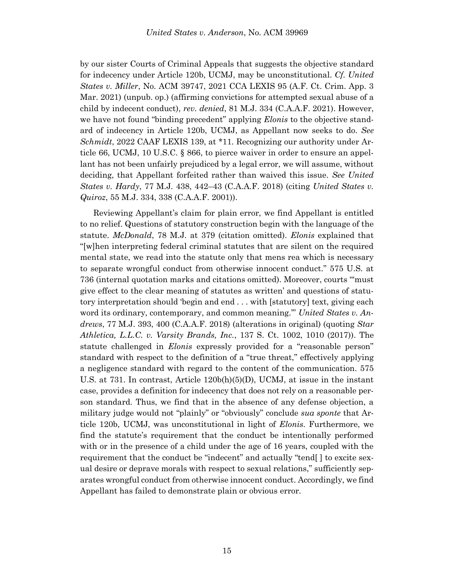by our sister Courts of Criminal Appeals that suggests the objective standard for indecency under Article 120b, UCMJ, may be unconstitutional. *Cf. United States v. Miller*, No. ACM 39747, 2021 CCA LEXIS 95 (A.F. Ct. Crim. App. 3 Mar. 2021) (unpub. op.) (affirming convictions for attempted sexual abuse of a child by indecent conduct), *rev. denied*, 81 M.J. 334 (C.A.A.F. 2021). However, we have not found "binding precedent" applying *Elonis* to the objective standard of indecency in Article 120b, UCMJ, as Appellant now seeks to do. *See Schmidt*, 2022 CAAF LEXIS 139, at \*11. Recognizing our authority under Article 66, UCMJ, 10 U.S.C. § 866, to pierce waiver in order to ensure an appellant has not been unfairly prejudiced by a legal error, we will assume, without deciding, that Appellant forfeited rather than waived this issue. *See United States v. Hardy*, 77 M.J. 438, 442–43 (C.A.A.F. 2018) (citing *United States v. Quiroz*, 55 M.J. 334, 338 (C.A.A.F. 2001)).

Reviewing Appellant's claim for plain error, we find Appellant is entitled to no relief. Questions of statutory construction begin with the language of the statute. *McDonald*, 78 M.J. at 379 (citation omitted). *Elonis* explained that "[w]hen interpreting federal criminal statutes that are silent on the required mental state, we read into the statute only that mens rea which is necessary to separate wrongful conduct from otherwise innocent conduct." 575 U.S. at 736 (internal quotation marks and citations omitted). Moreover, courts "'must give effect to the clear meaning of statutes as written' and questions of statutory interpretation should 'begin and end . . . with [statutory] text, giving each word its ordinary, contemporary, and common meaning.'" *United States v. Andrews*, 77 M.J. 393, 400 (C.A.A.F. 2018) (alterations in original) (quoting *Star Athletica, L.L.C. v. Varsity Brands, Inc.*, 137 S. Ct. 1002, 1010 (2017)). The statute challenged in *Elonis* expressly provided for a "reasonable person" standard with respect to the definition of a "true threat," effectively applying a negligence standard with regard to the content of the communication. 575 U.S. at 731. In contrast, Article 120b(h)(5)(D), UCMJ, at issue in the instant case, provides a definition for indecency that does not rely on a reasonable person standard. Thus, we find that in the absence of any defense objection, a military judge would not "plainly" or "obviously" conclude *sua sponte* that Article 120b, UCMJ, was unconstitutional in light of *Elonis*. Furthermore, we find the statute's requirement that the conduct be intentionally performed with or in the presence of a child under the age of 16 years, coupled with the requirement that the conduct be "indecent" and actually "tend[ ] to excite sexual desire or deprave morals with respect to sexual relations," sufficiently separates wrongful conduct from otherwise innocent conduct. Accordingly, we find Appellant has failed to demonstrate plain or obvious error.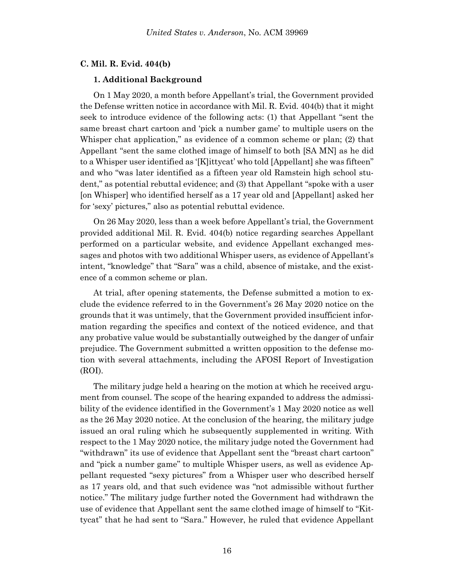### **C. Mil. R. Evid. 404(b)**

#### **1. Additional Background**

On 1 May 2020, a month before Appellant's trial, the Government provided the Defense written notice in accordance with Mil. R. Evid. 404(b) that it might seek to introduce evidence of the following acts: (1) that Appellant "sent the same breast chart cartoon and 'pick a number game' to multiple users on the Whisper chat application," as evidence of a common scheme or plan; (2) that Appellant "sent the same clothed image of himself to both [SA MN] as he did to a Whisper user identified as '[K]ittycat' who told [Appellant] she was fifteen" and who "was later identified as a fifteen year old Ramstein high school student," as potential rebuttal evidence; and (3) that Appellant "spoke with a user [on Whisper] who identified herself as a 17 year old and [Appellant] asked her for 'sexy' pictures," also as potential rebuttal evidence.

On 26 May 2020, less than a week before Appellant's trial, the Government provided additional Mil. R. Evid. 404(b) notice regarding searches Appellant performed on a particular website, and evidence Appellant exchanged messages and photos with two additional Whisper users, as evidence of Appellant's intent, "knowledge" that "Sara" was a child, absence of mistake, and the existence of a common scheme or plan.

At trial, after opening statements, the Defense submitted a motion to exclude the evidence referred to in the Government's 26 May 2020 notice on the grounds that it was untimely, that the Government provided insufficient information regarding the specifics and context of the noticed evidence, and that any probative value would be substantially outweighed by the danger of unfair prejudice. The Government submitted a written opposition to the defense motion with several attachments, including the AFOSI Report of Investigation (ROI).

The military judge held a hearing on the motion at which he received argument from counsel. The scope of the hearing expanded to address the admissibility of the evidence identified in the Government's 1 May 2020 notice as well as the 26 May 2020 notice. At the conclusion of the hearing, the military judge issued an oral ruling which he subsequently supplemented in writing. With respect to the 1 May 2020 notice, the military judge noted the Government had "withdrawn" its use of evidence that Appellant sent the "breast chart cartoon" and "pick a number game" to multiple Whisper users, as well as evidence Appellant requested "sexy pictures" from a Whisper user who described herself as 17 years old, and that such evidence was "not admissible without further notice." The military judge further noted the Government had withdrawn the use of evidence that Appellant sent the same clothed image of himself to "Kittycat" that he had sent to "Sara." However, he ruled that evidence Appellant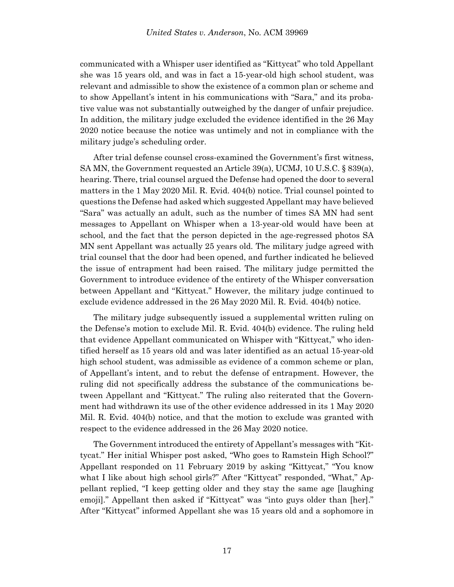communicated with a Whisper user identified as "Kittycat" who told Appellant she was 15 years old, and was in fact a 15-year-old high school student, was relevant and admissible to show the existence of a common plan or scheme and to show Appellant's intent in his communications with "Sara," and its probative value was not substantially outweighed by the danger of unfair prejudice. In addition, the military judge excluded the evidence identified in the 26 May 2020 notice because the notice was untimely and not in compliance with the military judge's scheduling order.

After trial defense counsel cross-examined the Government's first witness, SA MN, the Government requested an Article 39(a), UCMJ, 10 U.S.C. § 839(a), hearing. There, trial counsel argued the Defense had opened the door to several matters in the 1 May 2020 Mil. R. Evid. 404(b) notice. Trial counsel pointed to questions the Defense had asked which suggested Appellant may have believed "Sara" was actually an adult, such as the number of times SA MN had sent messages to Appellant on Whisper when a 13-year-old would have been at school, and the fact that the person depicted in the age-regressed photos SA MN sent Appellant was actually 25 years old. The military judge agreed with trial counsel that the door had been opened, and further indicated he believed the issue of entrapment had been raised. The military judge permitted the Government to introduce evidence of the entirety of the Whisper conversation between Appellant and "Kittycat." However, the military judge continued to exclude evidence addressed in the 26 May 2020 Mil. R. Evid. 404(b) notice.

The military judge subsequently issued a supplemental written ruling on the Defense's motion to exclude Mil. R. Evid. 404(b) evidence. The ruling held that evidence Appellant communicated on Whisper with "Kittycat," who identified herself as 15 years old and was later identified as an actual 15-year-old high school student, was admissible as evidence of a common scheme or plan, of Appellant's intent, and to rebut the defense of entrapment. However, the ruling did not specifically address the substance of the communications between Appellant and "Kittycat." The ruling also reiterated that the Government had withdrawn its use of the other evidence addressed in its 1 May 2020 Mil. R. Evid. 404(b) notice, and that the motion to exclude was granted with respect to the evidence addressed in the 26 May 2020 notice.

The Government introduced the entirety of Appellant's messages with "Kittycat." Her initial Whisper post asked, "Who goes to Ramstein High School?" Appellant responded on 11 February 2019 by asking "Kittycat," "You know what I like about high school girls?" After "Kittycat" responded, "What," Appellant replied, "I keep getting older and they stay the same age [laughing emoji]." Appellant then asked if "Kittycat" was "into guys older than [her]." After "Kittycat" informed Appellant she was 15 years old and a sophomore in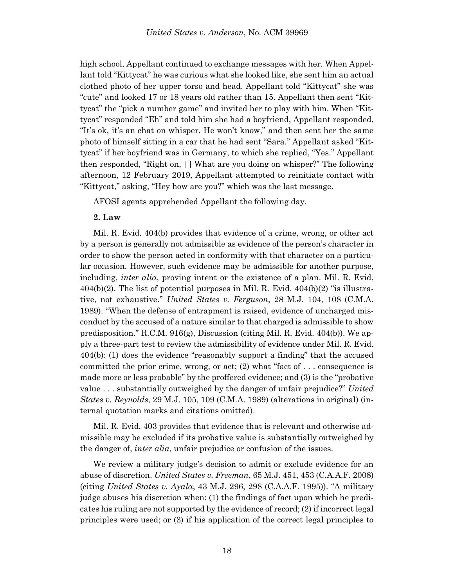high school, Appellant continued to exchange messages with her. When Appellant told "Kittycat" he was curious what she looked like, she sent him an actual clothed photo of her upper torso and head. Appellant told "Kittycat" she was "cute" and looked 17 or 18 years old rather than 15. Appellant then sent "Kittycat" the "pick a number game" and invited her to play with him. When "Kittycat" responded "Eh" and told him she had a boyfriend, Appellant responded, "It's ok, it's an chat on whisper. He won't know," and then sent her the same photo of himself sitting in a car that he had sent "Sara." Appellant asked "Kittycat" if her boyfriend was in Germany, to which she replied, "Yes." Appellant then responded, "Right on, [ ] What are you doing on whisper?" The following afternoon, 12 February 2019, Appellant attempted to reinitiate contact with "Kittycat," asking, "Hey how are you?" which was the last message.

AFOSI agents apprehended Appellant the following day.

### **2. Law**

Mil. R. Evid. 404(b) provides that evidence of a crime, wrong, or other act by a person is generally not admissible as evidence of the person's character in order to show the person acted in conformity with that character on a particular occasion. However, such evidence may be admissible for another purpose, including, *inter alia*, proving intent or the existence of a plan. Mil. R. Evid.  $404(b)(2)$ . The list of potential purposes in Mil. R. Evid.  $404(b)(2)$  "is illustrative, not exhaustive." *United States v. Ferguson*, 28 M.J. 104, 108 (C.M.A. 1989). "When the defense of entrapment is raised, evidence of uncharged misconduct by the accused of a nature similar to that charged is admissible to show predisposition." R.C.M. 916(g), Discussion (citing Mil. R. Evid. 404(b)). We apply a three-part test to review the admissibility of evidence under Mil. R. Evid. 404(b): (1) does the evidence "reasonably support a finding" that the accused committed the prior crime, wrong, or act; (2) what "fact of . . . consequence is made more or less probable" by the proffered evidence; and (3) is the "probative value . . . substantially outweighed by the danger of unfair prejudice?" *United States v. Reynolds*, 29 M.J. 105, 109 (C.M.A. 1989) (alterations in original) (internal quotation marks and citations omitted).

Mil. R. Evid. 403 provides that evidence that is relevant and otherwise admissible may be excluded if its probative value is substantially outweighed by the danger of, *inter alia*, unfair prejudice or confusion of the issues.

We review a military judge's decision to admit or exclude evidence for an abuse of discretion. *United States v. Freeman*, 65 M.J. 451, 453 (C.A.A.F. 2008) (citing *United States v. Ayala*, 43 M.J. 296, 298 (C.A.A.F. 1995)). "A military judge abuses his discretion when: (1) the findings of fact upon which he predicates his ruling are not supported by the evidence of record; (2) if incorrect legal principles were used; or (3) if his application of the correct legal principles to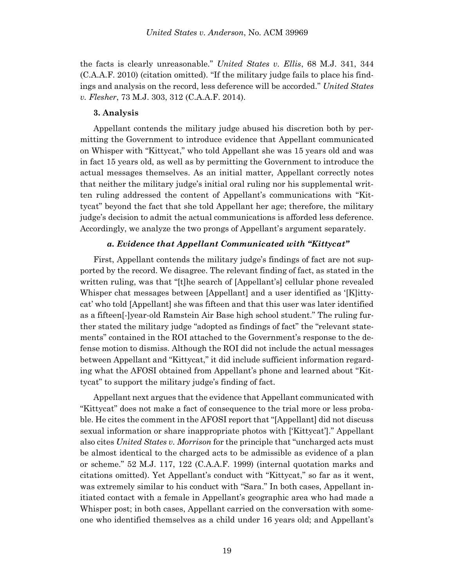the facts is clearly unreasonable." *United States v. Ellis*, 68 M.J. 341, 344 (C.A.A.F. 2010) (citation omitted). "If the military judge fails to place his findings and analysis on the record, less deference will be accorded." *United States v. Flesher*, 73 M.J. 303, 312 (C.A.A.F. 2014).

#### **3. Analysis**

Appellant contends the military judge abused his discretion both by permitting the Government to introduce evidence that Appellant communicated on Whisper with "Kittycat," who told Appellant she was 15 years old and was in fact 15 years old, as well as by permitting the Government to introduce the actual messages themselves. As an initial matter, Appellant correctly notes that neither the military judge's initial oral ruling nor his supplemental written ruling addressed the content of Appellant's communications with "Kittycat" beyond the fact that she told Appellant her age; therefore, the military judge's decision to admit the actual communications is afforded less deference. Accordingly, we analyze the two prongs of Appellant's argument separately.

## *a. Evidence that Appellant Communicated with "Kittycat"*

First, Appellant contends the military judge's findings of fact are not supported by the record. We disagree. The relevant finding of fact, as stated in the written ruling, was that "[t]he search of [Appellant's] cellular phone revealed Whisper chat messages between [Appellant] and a user identified as '[K]ittycat' who told [Appellant] she was fifteen and that this user was later identified as a fifteen[-]year-old Ramstein Air Base high school student." The ruling further stated the military judge "adopted as findings of fact" the "relevant statements" contained in the ROI attached to the Government's response to the defense motion to dismiss. Although the ROI did not include the actual messages between Appellant and "Kittycat," it did include sufficient information regarding what the AFOSI obtained from Appellant's phone and learned about "Kittycat" to support the military judge's finding of fact.

Appellant next argues that the evidence that Appellant communicated with "Kittycat" does not make a fact of consequence to the trial more or less probable. He cites the comment in the AFOSI report that "[Appellant] did not discuss sexual information or share inappropriate photos with ['Kittycat']." Appellant also cites *United States v. Morrison* for the principle that "uncharged acts must be almost identical to the charged acts to be admissible as evidence of a plan or scheme." 52 M.J. 117, 122 (C.A.A.F. 1999) (internal quotation marks and citations omitted). Yet Appellant's conduct with "Kittycat," so far as it went, was extremely similar to his conduct with "Sara." In both cases, Appellant initiated contact with a female in Appellant's geographic area who had made a Whisper post; in both cases, Appellant carried on the conversation with someone who identified themselves as a child under 16 years old; and Appellant's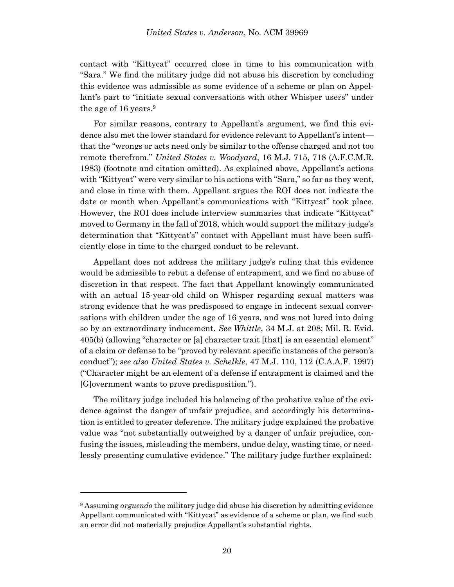contact with "Kittycat" occurred close in time to his communication with "Sara." We find the military judge did not abuse his discretion by concluding this evidence was admissible as some evidence of a scheme or plan on Appellant's part to "initiate sexual conversations with other Whisper users" under the age of 16 years. 9

For similar reasons, contrary to Appellant's argument, we find this evidence also met the lower standard for evidence relevant to Appellant's intent that the "wrongs or acts need only be similar to the offense charged and not too remote therefrom." *United States v. Woodyard*, 16 M.J. 715, 718 (A.F.C.M.R. 1983) (footnote and citation omitted). As explained above, Appellant's actions with "Kittycat" were very similar to his actions with "Sara," so far as they went, and close in time with them. Appellant argues the ROI does not indicate the date or month when Appellant's communications with "Kittycat" took place. However, the ROI does include interview summaries that indicate "Kittycat" moved to Germany in the fall of 2018, which would support the military judge's determination that "Kittycat's" contact with Appellant must have been sufficiently close in time to the charged conduct to be relevant.

Appellant does not address the military judge's ruling that this evidence would be admissible to rebut a defense of entrapment, and we find no abuse of discretion in that respect. The fact that Appellant knowingly communicated with an actual 15-year-old child on Whisper regarding sexual matters was strong evidence that he was predisposed to engage in indecent sexual conversations with children under the age of 16 years, and was not lured into doing so by an extraordinary inducement. *See Whittle*, 34 M.J. at 208; Mil. R. Evid. 405(b) (allowing "character or [a] character trait [that] is an essential element" of a claim or defense to be "proved by relevant specific instances of the person's conduct"); *see also United States v. Schelkle*, 47 M.J. 110, 112 (C.A.A.F. 1997) ("Character might be an element of a defense if entrapment is claimed and the [G]overnment wants to prove predisposition.").

The military judge included his balancing of the probative value of the evidence against the danger of unfair prejudice, and accordingly his determination is entitled to greater deference. The military judge explained the probative value was "not substantially outweighed by a danger of unfair prejudice, confusing the issues, misleading the members, undue delay, wasting time, or needlessly presenting cumulative evidence." The military judge further explained:

l

<sup>9</sup> Assuming *arguendo* the military judge did abuse his discretion by admitting evidence Appellant communicated with "Kittycat" as evidence of a scheme or plan, we find such an error did not materially prejudice Appellant's substantial rights.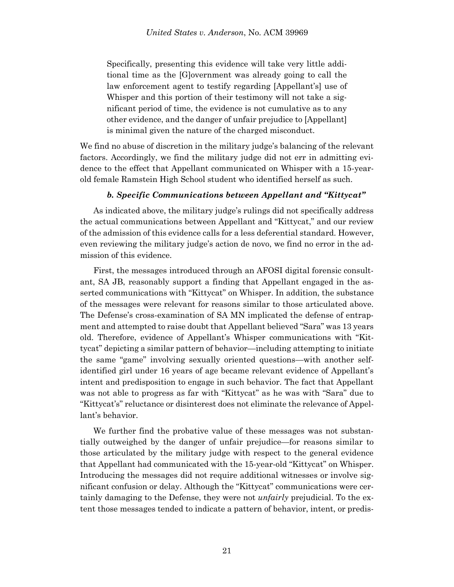Specifically, presenting this evidence will take very little additional time as the [G]overnment was already going to call the law enforcement agent to testify regarding [Appellant's] use of Whisper and this portion of their testimony will not take a significant period of time, the evidence is not cumulative as to any other evidence, and the danger of unfair prejudice to [Appellant] is minimal given the nature of the charged misconduct.

We find no abuse of discretion in the military judge's balancing of the relevant factors. Accordingly, we find the military judge did not err in admitting evidence to the effect that Appellant communicated on Whisper with a 15-yearold female Ramstein High School student who identified herself as such.

### *b. Specific Communications between Appellant and "Kittycat"*

As indicated above, the military judge's rulings did not specifically address the actual communications between Appellant and "Kittycat," and our review of the admission of this evidence calls for a less deferential standard. However, even reviewing the military judge's action de novo, we find no error in the admission of this evidence.

First, the messages introduced through an AFOSI digital forensic consultant, SA JB, reasonably support a finding that Appellant engaged in the asserted communications with "Kittycat" on Whisper. In addition, the substance of the messages were relevant for reasons similar to those articulated above. The Defense's cross-examination of SA MN implicated the defense of entrapment and attempted to raise doubt that Appellant believed "Sara" was 13 years old. Therefore, evidence of Appellant's Whisper communications with "Kittycat" depicting a similar pattern of behavior—including attempting to initiate the same "game" involving sexually oriented questions—with another selfidentified girl under 16 years of age became relevant evidence of Appellant's intent and predisposition to engage in such behavior. The fact that Appellant was not able to progress as far with "Kittycat" as he was with "Sara" due to "Kittycat's" reluctance or disinterest does not eliminate the relevance of Appellant's behavior.

We further find the probative value of these messages was not substantially outweighed by the danger of unfair prejudice—for reasons similar to those articulated by the military judge with respect to the general evidence that Appellant had communicated with the 15-year-old "Kittycat" on Whisper. Introducing the messages did not require additional witnesses or involve significant confusion or delay. Although the "Kittycat" communications were certainly damaging to the Defense, they were not *unfairly* prejudicial. To the extent those messages tended to indicate a pattern of behavior, intent, or predis-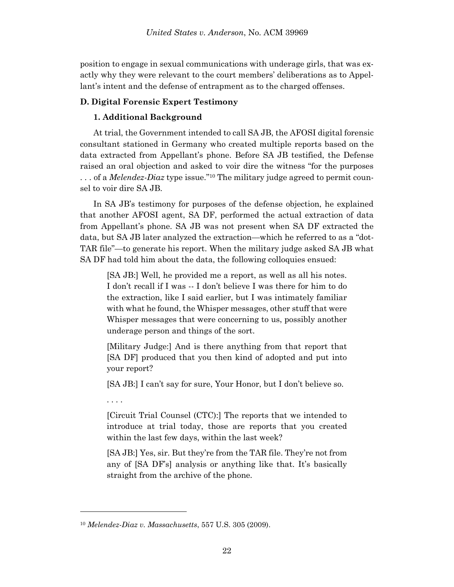position to engage in sexual communications with underage girls, that was exactly why they were relevant to the court members' deliberations as to Appellant's intent and the defense of entrapment as to the charged offenses.

## **D. Digital Forensic Expert Testimony**

## **1. Additional Background**

At trial, the Government intended to call SA JB, the AFOSI digital forensic consultant stationed in Germany who created multiple reports based on the data extracted from Appellant's phone. Before SA JB testified, the Defense raised an oral objection and asked to voir dire the witness "for the purposes . . . of a *Melendez-Diaz* type issue."<sup>10</sup> The military judge agreed to permit counsel to voir dire SA JB.

In SA JB's testimony for purposes of the defense objection, he explained that another AFOSI agent, SA DF, performed the actual extraction of data from Appellant's phone. SA JB was not present when SA DF extracted the data, but SA JB later analyzed the extraction—which he referred to as a "dot-TAR file"—to generate his report. When the military judge asked SA JB what SA DF had told him about the data, the following colloquies ensued:

[SA JB:] Well, he provided me a report, as well as all his notes. I don't recall if I was -- I don't believe I was there for him to do the extraction, like I said earlier, but I was intimately familiar with what he found, the Whisper messages, other stuff that were Whisper messages that were concerning to us, possibly another underage person and things of the sort.

[Military Judge:] And is there anything from that report that [SA DF] produced that you then kind of adopted and put into your report?

[SA JB:] I can't say for sure, Your Honor, but I don't believe so.

. . . .

l

[Circuit Trial Counsel (CTC):] The reports that we intended to introduce at trial today, those are reports that you created within the last few days, within the last week?

[SA JB:] Yes, sir. But they're from the TAR file. They're not from any of [SA DF's] analysis or anything like that. It's basically straight from the archive of the phone.

<sup>10</sup> *Melendez-Diaz v. Massachusetts*, 557 U.S. 305 (2009).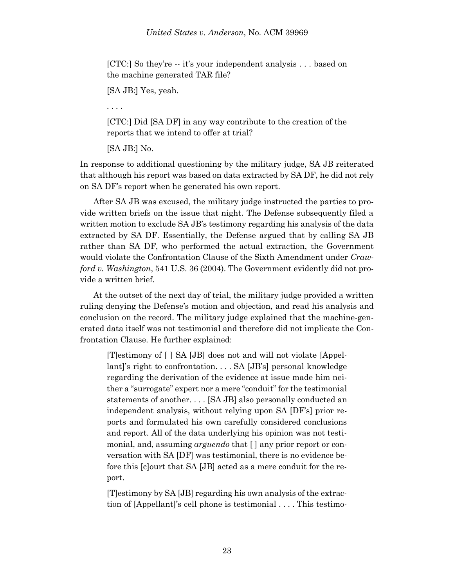[CTC:] So they're -- it's your independent analysis . . . based on the machine generated TAR file?

[SA JB:] Yes, yeah.

. . . .

[CTC:] Did [SA DF] in any way contribute to the creation of the reports that we intend to offer at trial?

[SA JB:] No.

In response to additional questioning by the military judge, SA JB reiterated that although his report was based on data extracted by SA DF, he did not rely on SA DF's report when he generated his own report.

After SA JB was excused, the military judge instructed the parties to provide written briefs on the issue that night. The Defense subsequently filed a written motion to exclude SA JB's testimony regarding his analysis of the data extracted by SA DF. Essentially, the Defense argued that by calling SA JB rather than SA DF, who performed the actual extraction, the Government would violate the Confrontation Clause of the Sixth Amendment under *Crawford v. Washington*, 541 U.S. 36 (2004). The Government evidently did not provide a written brief.

At the outset of the next day of trial, the military judge provided a written ruling denying the Defense's motion and objection, and read his analysis and conclusion on the record. The military judge explained that the machine-generated data itself was not testimonial and therefore did not implicate the Confrontation Clause. He further explained:

[T]estimony of [ ] SA [JB] does not and will not violate [Appellant]'s right to confrontation... SA [JB's] personal knowledge regarding the derivation of the evidence at issue made him neither a "surrogate" expert nor a mere "conduit" for the testimonial statements of another. . . . [SA JB] also personally conducted an independent analysis, without relying upon SA [DF's] prior reports and formulated his own carefully considered conclusions and report. All of the data underlying his opinion was not testimonial, and, assuming *arguendo* that [ ] any prior report or conversation with SA [DF] was testimonial, there is no evidence before this [c]ourt that SA [JB] acted as a mere conduit for the report.

[T]estimony by SA [JB] regarding his own analysis of the extraction of [Appellant]'s cell phone is testimonial . . . . This testimo-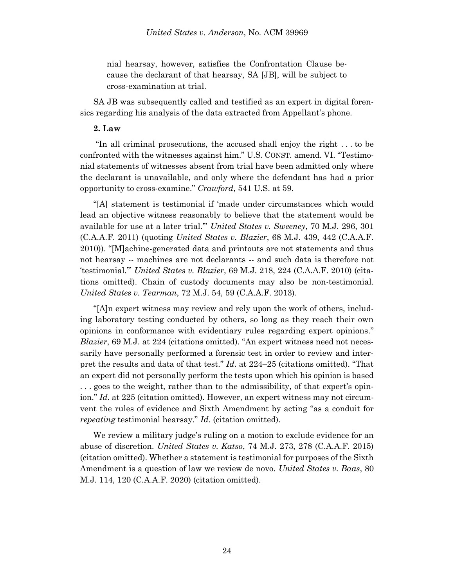nial hearsay, however, satisfies the Confrontation Clause because the declarant of that hearsay, SA [JB], will be subject to cross-examination at trial.

SA JB was subsequently called and testified as an expert in digital forensics regarding his analysis of the data extracted from Appellant's phone.

## **2. Law**

"In all criminal prosecutions, the accused shall enjoy the right . . . to be confronted with the witnesses against him." U.S. CONST. amend. VI. "Testimonial statements of witnesses absent from trial have been admitted only where the declarant is unavailable, and only where the defendant has had a prior opportunity to cross-examine." *Crawford*, 541 U.S. at 59.

"[A] statement is testimonial if 'made under circumstances which would lead an objective witness reasonably to believe that the statement would be available for use at a later trial.'" *United States v. Sweeney*, 70 M.J. 296, 301 (C.A.A.F. 2011) (quoting *United States v. Blazier*, 68 M.J. 439, 442 (C.A.A.F. 2010)). "[M]achine-generated data and printouts are not statements and thus not hearsay -- machines are not declarants -- and such data is therefore not 'testimonial.'" *United States v. Blazier*, 69 M.J. 218, 224 (C.A.A.F. 2010) (citations omitted). Chain of custody documents may also be non-testimonial. *United States v. Tearman*, 72 M.J. 54, 59 (C.A.A.F. 2013).

"[A]n expert witness may review and rely upon the work of others, including laboratory testing conducted by others, so long as they reach their own opinions in conformance with evidentiary rules regarding expert opinions." *Blazier*, 69 M.J. at 224 (citations omitted). "An expert witness need not necessarily have personally performed a forensic test in order to review and interpret the results and data of that test." *Id*. at 224–25 (citations omitted). "That an expert did not personally perform the tests upon which his opinion is based . . . goes to the weight, rather than to the admissibility, of that expert's opinion." *Id.* at 225 (citation omitted). However, an expert witness may not circumvent the rules of evidence and Sixth Amendment by acting "as a conduit for *repeating* testimonial hearsay." *Id*. (citation omitted).

We review a military judge's ruling on a motion to exclude evidence for an abuse of discretion. *United States v. Katso*, 74 M.J. 273, 278 (C.A.A.F. 2015) (citation omitted). Whether a statement is testimonial for purposes of the Sixth Amendment is a question of law we review de novo. *United States v. Baas*, 80 M.J. 114, 120 (C.A.A.F. 2020) (citation omitted).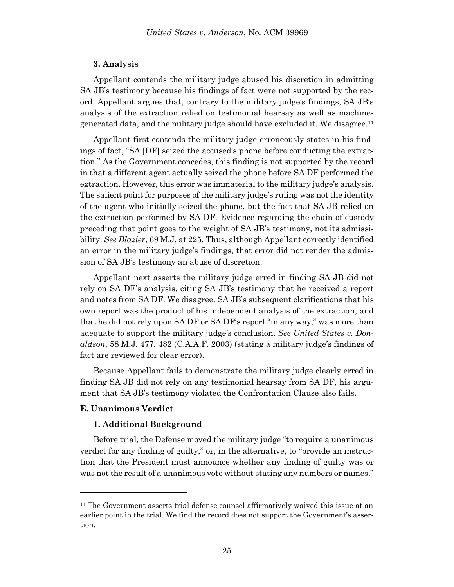#### **3. Analysis**

Appellant contends the military judge abused his discretion in admitting SA JB's testimony because his findings of fact were not supported by the record. Appellant argues that, contrary to the military judge's findings, SA JB's analysis of the extraction relied on testimonial hearsay as well as machinegenerated data, and the military judge should have excluded it. We disagree.<sup>11</sup>

Appellant first contends the military judge erroneously states in his findings of fact, "SA [DF] seized the accused's phone before conducting the extraction." As the Government concedes, this finding is not supported by the record in that a different agent actually seized the phone before SA DF performed the extraction. However, this error was immaterial to the military judge's analysis. The salient point for purposes of the military judge's ruling was not the identity of the agent who initially seized the phone, but the fact that SA JB relied on the extraction performed by SA DF. Evidence regarding the chain of custody preceding that point goes to the weight of SA JB's testimony, not its admissibility. *See Blazier*, 69 M.J. at 225. Thus, although Appellant correctly identified an error in the military judge's findings, that error did not render the admission of SA JB's testimony an abuse of discretion.

Appellant next asserts the military judge erred in finding SA JB did not rely on SA DF's analysis, citing SA JB's testimony that he received a report and notes from SA DF. We disagree. SA JB's subsequent clarifications that his own report was the product of his independent analysis of the extraction, and that he did not rely upon SA DF or SA DF's report "in any way," was more than adequate to support the military judge's conclusion. *See United States v. Donaldson*, 58 M.J. 477, 482 (C.A.A.F. 2003) (stating a military judge's findings of fact are reviewed for clear error).

Because Appellant fails to demonstrate the military judge clearly erred in finding SA JB did not rely on any testimonial hearsay from SA DF, his argument that SA JB's testimony violated the Confrontation Clause also fails.

#### **E. Unanimous Verdict**

l

### **1. Additional Background**

Before trial, the Defense moved the military judge "to require a unanimous verdict for any finding of guilty," or, in the alternative, to "provide an instruction that the President must announce whether any finding of guilty was or was not the result of a unanimous vote without stating any numbers or names."

<sup>11</sup> The Government asserts trial defense counsel affirmatively waived this issue at an earlier point in the trial. We find the record does not support the Government's assertion.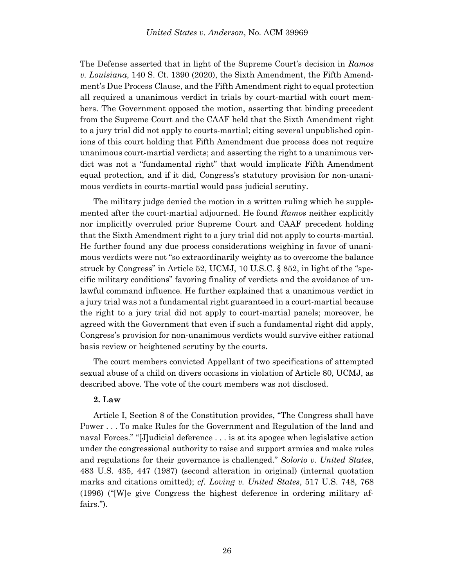The Defense asserted that in light of the Supreme Court's decision in *Ramos v. Louisiana*, 140 S. Ct. 1390 (2020), the Sixth Amendment, the Fifth Amendment's Due Process Clause, and the Fifth Amendment right to equal protection all required a unanimous verdict in trials by court-martial with court members. The Government opposed the motion, asserting that binding precedent from the Supreme Court and the CAAF held that the Sixth Amendment right to a jury trial did not apply to courts-martial; citing several unpublished opinions of this court holding that Fifth Amendment due process does not require unanimous court-martial verdicts; and asserting the right to a unanimous verdict was not a "fundamental right" that would implicate Fifth Amendment equal protection, and if it did, Congress's statutory provision for non-unanimous verdicts in courts-martial would pass judicial scrutiny.

The military judge denied the motion in a written ruling which he supplemented after the court-martial adjourned. He found *Ramos* neither explicitly nor implicitly overruled prior Supreme Court and CAAF precedent holding that the Sixth Amendment right to a jury trial did not apply to courts-martial. He further found any due process considerations weighing in favor of unanimous verdicts were not "so extraordinarily weighty as to overcome the balance struck by Congress" in Article 52, UCMJ, 10 U.S.C. § 852, in light of the "specific military conditions" favoring finality of verdicts and the avoidance of unlawful command influence. He further explained that a unanimous verdict in a jury trial was not a fundamental right guaranteed in a court-martial because the right to a jury trial did not apply to court-martial panels; moreover, he agreed with the Government that even if such a fundamental right did apply, Congress's provision for non-unanimous verdicts would survive either rational basis review or heightened scrutiny by the courts.

The court members convicted Appellant of two specifications of attempted sexual abuse of a child on divers occasions in violation of Article 80, UCMJ, as described above. The vote of the court members was not disclosed.

### **2. Law**

Article I, Section 8 of the Constitution provides, "The Congress shall have Power . . . To make Rules for the Government and Regulation of the land and naval Forces." "[J]udicial deference . . . is at its apogee when legislative action under the congressional authority to raise and support armies and make rules and regulations for their governance is challenged." *Solorio v. United States*, 483 U.S. 435, 447 (1987) (second alteration in original) (internal quotation marks and citations omitted); *cf. Loving v. United States*, 517 U.S. 748, 768 (1996) ("[W]e give Congress the highest deference in ordering military affairs.").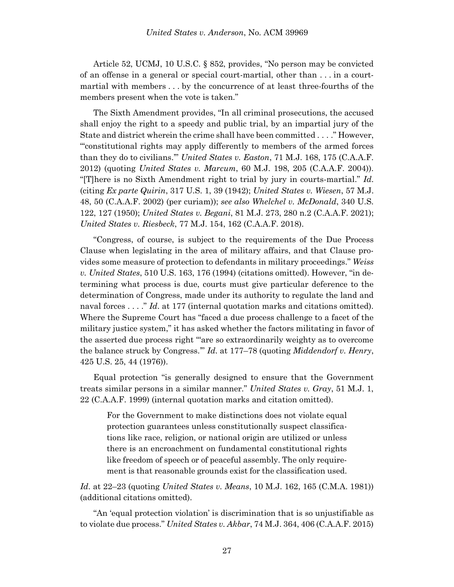Article 52, UCMJ, 10 U.S.C. § 852, provides, "No person may be convicted of an offense in a general or special court-martial, other than . . . in a courtmartial with members . . . by the concurrence of at least three-fourths of the members present when the vote is taken."

The Sixth Amendment provides, "In all criminal prosecutions, the accused shall enjoy the right to a speedy and public trial, by an impartial jury of the State and district wherein the crime shall have been committed . . . ." However, "'constitutional rights may apply differently to members of the armed forces than they do to civilians.'" *United States v. Easton*, 71 M.J. 168, 175 (C.A.A.F. 2012) (quoting *United States v. Marcum*, 60 M.J. 198, 205 (C.A.A.F. 2004)). "[T]here is no Sixth Amendment right to trial by jury in courts-martial." *Id*. (citing *Ex parte Quirin*, 317 U.S. 1, 39 (1942); *United States v. Wiesen*, 57 M.J. 48, 50 (C.A.A.F. 2002) (per curiam)); *see also Whelchel v. McDonald*, 340 U.S. 122, 127 (1950); *United States v. Begani*, 81 M.J. 273, 280 n.2 (C.A.A.F. 2021); *United States v. Riesbeck*, 77 M.J. 154, 162 (C.A.A.F. 2018).

"Congress, of course, is subject to the requirements of the Due Process Clause when legislating in the area of military affairs, and that Clause provides some measure of protection to defendants in military proceedings." *Weiss v. United States*, 510 U.S. 163, 176 (1994) (citations omitted). However, "in determining what process is due, courts must give particular deference to the determination of Congress, made under its authority to regulate the land and naval forces . . . ." *Id*. at 177 (internal quotation marks and citations omitted). Where the Supreme Court has "faced a due process challenge to a facet of the military justice system," it has asked whether the factors militating in favor of the asserted due process right "'are so extraordinarily weighty as to overcome the balance struck by Congress.'" *Id*. at 177–78 (quoting *Middendorf v. Henry*, 425 U.S. 25, 44 (1976)).

Equal protection "is generally designed to ensure that the Government treats similar persons in a similar manner." *United States v. Gray*, 51 M.J. 1, 22 (C.A.A.F. 1999) (internal quotation marks and citation omitted).

For the Government to make distinctions does not violate equal protection guarantees unless constitutionally suspect classifications like race, religion, or national origin are utilized or unless there is an encroachment on fundamental constitutional rights like freedom of speech or of peaceful assembly. The only requirement is that reasonable grounds exist for the classification used.

*Id*. at 22–23 (quoting *United States v. Means*, 10 M.J. 162, 165 (C.M.A. 1981)) (additional citations omitted).

"An 'equal protection violation' is discrimination that is so unjustifiable as to violate due process." *United States v. Akbar*, 74 M.J. 364, 406 (C.A.A.F. 2015)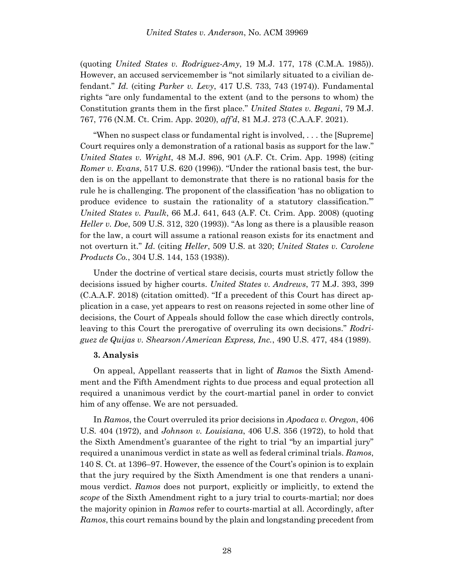(quoting *United States v. Rodriguez-Amy*, 19 M.J. 177, 178 (C.M.A. 1985)). However, an accused servicemember is "not similarly situated to a civilian defendant." *Id.* (citing *Parker v. Levy*, 417 U.S. 733, 743 (1974)). Fundamental rights "are only fundamental to the extent (and to the persons to whom) the Constitution grants them in the first place." *United States v. Begani*, 79 M.J. 767, 776 (N.M. Ct. Crim. App. 2020), *aff'd*, 81 M.J. 273 (C.A.A.F. 2021).

"When no suspect class or fundamental right is involved, . . . the [Supreme] Court requires only a demonstration of a rational basis as support for the law." *United States v. Wright*, 48 M.J. 896, 901 (A.F. Ct. Crim. App. 1998) (citing *Romer v. Evans*, 517 U.S. 620 (1996)). "Under the rational basis test, the burden is on the appellant to demonstrate that there is no rational basis for the rule he is challenging. The proponent of the classification 'has no obligation to produce evidence to sustain the rationality of a statutory classification.'" *United States v. Paulk*, 66 M.J. 641, 643 (A.F. Ct. Crim. App. 2008) (quoting *Heller v. Doe*, 509 U.S. 312, 320 (1993)). "As long as there is a plausible reason for the law, a court will assume a rational reason exists for its enactment and not overturn it." *Id*. (citing *Heller*, 509 U.S. at 320; *United States v. Carolene Products Co.*, 304 U.S. 144, 153 (1938)).

Under the doctrine of vertical stare decisis, courts must strictly follow the decisions issued by higher courts. *United States v. Andrews*, 77 M.J. 393, 399 (C.A.A.F. 2018) (citation omitted). "If a precedent of this Court has direct application in a case, yet appears to rest on reasons rejected in some other line of decisions, the Court of Appeals should follow the case which directly controls, leaving to this Court the prerogative of overruling its own decisions." *Rodriguez de Quijas v. Shearson/American Express, Inc.*, 490 U.S. 477, 484 (1989).

### **3. Analysis**

On appeal, Appellant reasserts that in light of *Ramos* the Sixth Amendment and the Fifth Amendment rights to due process and equal protection all required a unanimous verdict by the court-martial panel in order to convict him of any offense. We are not persuaded.

In *Ramos*, the Court overruled its prior decisions in *Apodaca v. Oregon*, 406 U.S. 404 (1972), and *Johnson v. Louisiana*, 406 U.S. 356 (1972), to hold that the Sixth Amendment's guarantee of the right to trial "by an impartial jury" required a unanimous verdict in state as well as federal criminal trials. *Ramos*, 140 S. Ct. at 1396–97. However, the essence of the Court's opinion is to explain that the jury required by the Sixth Amendment is one that renders a unanimous verdict. *Ramos* does not purport, explicitly or implicitly, to extend the *scope* of the Sixth Amendment right to a jury trial to courts-martial; nor does the majority opinion in *Ramos* refer to courts-martial at all. Accordingly, after *Ramos*, this court remains bound by the plain and longstanding precedent from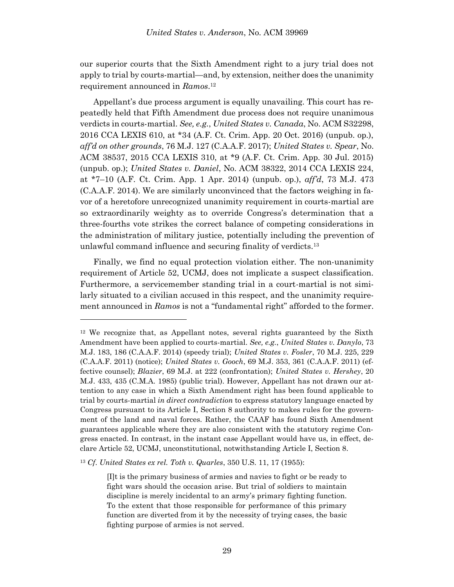our superior courts that the Sixth Amendment right to a jury trial does not apply to trial by courts-martial—and, by extension, neither does the unanimity requirement announced in *Ramos*. 12

Appellant's due process argument is equally unavailing. This court has repeatedly held that Fifth Amendment due process does not require unanimous verdicts in courts-martial. *See, e.g.*, *United States v. Canada*, No. ACM S32298, 2016 CCA LEXIS 610, at \*34 (A.F. Ct. Crim. App. 20 Oct. 2016) (unpub. op.), *aff'd on other grounds*, 76 M.J. 127 (C.A.A.F. 2017); *United States v. Spear*, No. ACM 38537, 2015 CCA LEXIS 310, at \*9 (A.F. Ct. Crim. App. 30 Jul. 2015) (unpub. op.); *United States v. Daniel*, No. ACM 38322, 2014 CCA LEXIS 224, at \*7–10 (A.F. Ct. Crim. App. 1 Apr. 2014) (unpub. op.), *aff'd*, 73 M.J. 473 (C.A.A.F. 2014). We are similarly unconvinced that the factors weighing in favor of a heretofore unrecognized unanimity requirement in courts-martial are so extraordinarily weighty as to override Congress's determination that a three-fourths vote strikes the correct balance of competing considerations in the administration of military justice, potentially including the prevention of unlawful command influence and securing finality of verdicts.<sup>13</sup>

Finally, we find no equal protection violation either. The non-unanimity requirement of Article 52, UCMJ, does not implicate a suspect classification. Furthermore, a servicemember standing trial in a court-martial is not similarly situated to a civilian accused in this respect, and the unanimity requirement announced in *Ramos* is not a "fundamental right" afforded to the former.

l

<sup>12</sup> We recognize that, as Appellant notes, several rights guaranteed by the Sixth Amendment have been applied to courts-martial. *See, e.g.*, *United States v. Danylo*, 73 M.J. 183, 186 (C.A.A.F. 2014) (speedy trial); *United States v. Fosler*, 70 M.J. 225, 229 (C.A.A.F. 2011) (notice); *United States v. Gooch*, 69 M.J. 353, 361 (C.A.A.F. 2011) (effective counsel); *Blazier*, 69 M.J. at 222 (confrontation); *United States v. Hershey*, 20 M.J. 433, 435 (C.M.A. 1985) (public trial). However, Appellant has not drawn our attention to any case in which a Sixth Amendment right has been found applicable to trial by courts-martial *in direct contradiction* to express statutory language enacted by Congress pursuant to its Article I, Section 8 authority to makes rules for the government of the land and naval forces. Rather, the CAAF has found Sixth Amendment guarantees applicable where they are also consistent with the statutory regime Congress enacted. In contrast, in the instant case Appellant would have us, in effect, declare Article 52, UCMJ, unconstitutional, notwithstanding Article I, Section 8.

<sup>13</sup> *Cf*. *United States ex rel. Toth v. Quarles*, 350 U.S. 11, 17 (1955):

<sup>[</sup>I]t is the primary business of armies and navies to fight or be ready to fight wars should the occasion arise. But trial of soldiers to maintain discipline is merely incidental to an army's primary fighting function. To the extent that those responsible for performance of this primary function are diverted from it by the necessity of trying cases, the basic fighting purpose of armies is not served.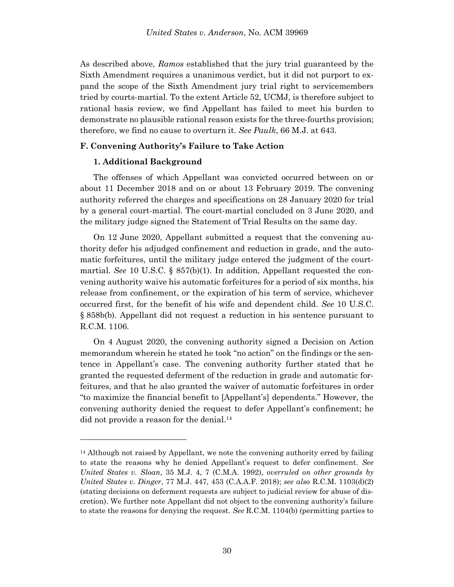As described above, *Ramos* established that the jury trial guaranteed by the Sixth Amendment requires a unanimous verdict, but it did not purport to expand the scope of the Sixth Amendment jury trial right to servicemembers tried by courts-martial. To the extent Article 52, UCMJ, is therefore subject to rational basis review, we find Appellant has failed to meet his burden to demonstrate no plausible rational reason exists for the three-fourths provision; therefore, we find no cause to overturn it. *See Paulk*, 66 M.J. at 643.

## **F. Convening Authority's Failure to Take Action**

## **1. Additional Background**

l

The offenses of which Appellant was convicted occurred between on or about 11 December 2018 and on or about 13 February 2019. The convening authority referred the charges and specifications on 28 January 2020 for trial by a general court-martial. The court-martial concluded on 3 June 2020, and the military judge signed the Statement of Trial Results on the same day.

On 12 June 2020, Appellant submitted a request that the convening authority defer his adjudged confinement and reduction in grade, and the automatic forfeitures, until the military judge entered the judgment of the courtmartial. *See* 10 U.S.C. § 857(b)(1). In addition, Appellant requested the convening authority waive his automatic forfeitures for a period of six months, his release from confinement, or the expiration of his term of service, whichever occurred first, for the benefit of his wife and dependent child. *See* 10 U.S.C. § 858b(b). Appellant did not request a reduction in his sentence pursuant to R.C.M. 1106.

On 4 August 2020, the convening authority signed a Decision on Action memorandum wherein he stated he took "no action" on the findings or the sentence in Appellant's case. The convening authority further stated that he granted the requested deferment of the reduction in grade and automatic forfeitures, and that he also granted the waiver of automatic forfeitures in order "to maximize the financial benefit to [Appellant's] dependents." However, the convening authority denied the request to defer Appellant's confinement; he did not provide a reason for the denial.<sup>14</sup>

<sup>&</sup>lt;sup>14</sup> Although not raised by Appellant, we note the convening authority erred by failing to state the reasons why he denied Appellant's request to defer confinement. *See United States v. Sloan*, 35 M.J. 4, 7 (C.M.A. 1992), *overruled on other grounds by United States v. Dinger*, 77 M.J. 447, 453 (C.A.A.F. 2018); *see also* R.C.M. 1103(d)(2) (stating decisions on deferment requests are subject to judicial review for abuse of discretion). We further note Appellant did not object to the convening authority's failure to state the reasons for denying the request. *See* R.C.M. 1104(b) (permitting parties to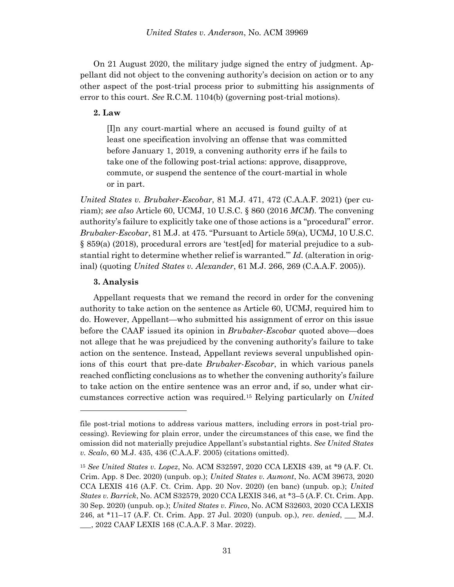On 21 August 2020, the military judge signed the entry of judgment. Appellant did not object to the convening authority's decision on action or to any other aspect of the post-trial process prior to submitting his assignments of error to this court. *See* R.C.M. 1104(b) (governing post-trial motions).

## **2. Law**

[I]n any court-martial where an accused is found guilty of at least one specification involving an offense that was committed before January 1, 2019, a convening authority errs if he fails to take one of the following post-trial actions: approve, disapprove, commute, or suspend the sentence of the court-martial in whole or in part.

*United States v. Brubaker-Escobar*, 81 M.J. 471, 472 (C.A.A.F. 2021) (per curiam); *see also* Article 60, UCMJ, 10 U.S.C. § 860 (2016 *MCM*). The convening authority's failure to explicitly take one of those actions is a "procedural" error. *Brubaker-Escobar*, 81 M.J. at 475. "Pursuant to Article 59(a), UCMJ, 10 U.S.C. § 859(a) (2018), procedural errors are 'test[ed] for material prejudice to a substantial right to determine whether relief is warranted.'" *Id*. (alteration in original) (quoting *United States v. Alexander*, 61 M.J. 266, 269 (C.A.A.F. 2005)).

## **3. Analysis**

l

Appellant requests that we remand the record in order for the convening authority to take action on the sentence as Article 60, UCMJ, required him to do. However, Appellant—who submitted his assignment of error on this issue before the CAAF issued its opinion in *Brubaker-Escobar* quoted above—does not allege that he was prejudiced by the convening authority's failure to take action on the sentence. Instead, Appellant reviews several unpublished opinions of this court that pre-date *Brubaker-Escobar*, in which various panels reached conflicting conclusions as to whether the convening authority's failure to take action on the entire sentence was an error and, if so, under what circumstances corrective action was required.<sup>15</sup> Relying particularly on *United* 

file post-trial motions to address various matters, including errors in post-trial processing). Reviewing for plain error, under the circumstances of this case, we find the omission did not materially prejudice Appellant's substantial rights. *See United States v. Scalo*, 60 M.J. 435, 436 (C.A.A.F. 2005) (citations omitted).

<sup>15</sup> *See United States v. Lopez*, No. ACM S32597, 2020 CCA LEXIS 439, at \*9 (A.F. Ct. Crim. App. 8 Dec. 2020) (unpub. op.); *United States v. Aumont*, No. ACM 39673, 2020 CCA LEXIS 416 (A.F. Ct. Crim. App. 20 Nov. 2020) (en banc) (unpub. op.); *United States v. Barrick*, No. ACM S32579, 2020 CCA LEXIS 346, at \*3–5 (A.F. Ct. Crim. App. 30 Sep. 2020) (unpub. op.); *United States v. Finco*, No. ACM S32603, 2020 CCA LEXIS 246, at \*11–17 (A.F. Ct. Crim. App. 27 Jul. 2020) (unpub. op.), *rev. denied*, \_\_\_ M.J. \_\_\_, 2022 CAAF LEXIS 168 (C.A.A.F. 3 Mar. 2022).